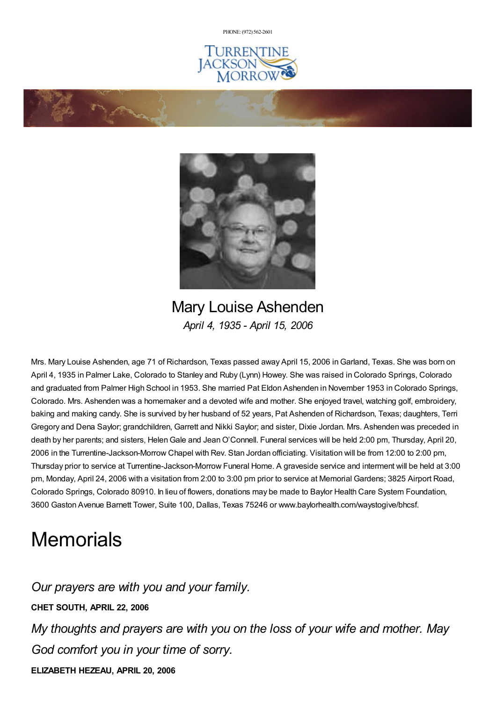PHONE: (972) [562-2601](tel:(972) 562-2601)







Mary Louise Ashenden *April 4, 1935 - April 15, 2006*

Mrs. Mary Louise Ashenden, age 71 of Richardson, Texas passed away April 15, 2006 inGarland, Texas. She was born on April 4, 1935 in Palmer Lake, Colorado to Stanley and Ruby (Lynn) Howey. She was raised in Colorado Springs, Colorado and graduated from Palmer High School in 1953. She married Pat Eldon Ashenden in November 1953 in Colorado Springs, Colorado. Mrs. Ashenden was a homemaker and a devoted wife and mother. She enjoyed travel, watching golf, embroidery, baking and making candy. She is survived by her husband of 52 years, Pat Ashenden of Richardson, Texas; daughters, Terri Gregory and Dena Saylor; grandchildren, Garrett and Nikki Saylor; and sister, Dixie Jordan. Mrs. Ashenden was preceded in death by her parents; and sisters, Helen Gale and Jean O'Connell. Funeral services will be held 2:00 pm, Thursday, April 20, 2006 in the Turrentine-Jackson-Morrow Chapel with Rev. Stan Jordan officiating. Visitation will be from 12:00 to 2:00 pm, Thursday prior to service at Turrentine-Jackson-Morrow Funeral Home. A graveside service and interment will be held at 3:00 pm, Monday, April 24, 2006 with a visitation from 2:00 to 3:00 pm prior to service at Memorial Gardens; 3825 Airport Road, Colorado Springs, Colorado 80910. In lieu of flowers, donations may be made to Baylor Health Care System Foundation, 3600 Gaston Avenue Barnett Tower, Suite 100, Dallas, Texas 75246 or www.baylorhealth.com/waystogive/bhcsf.

## **Memorials**

*Our prayers are with you and your family.*

**CHET SOUTH, APRIL 22, 2006**

*My thoughts and prayers are with you on the loss of your wife and mother. May God comfort you in your time of sorry.*

**ELIZABETH HEZEAU, APRIL 20, 2006**